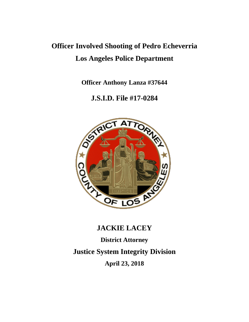# **Officer Involved Shooting of Pedro Echeverria Los Angeles Police Department**

**Officer Anthony Lanza #37644**

### **J.S.I.D. File #17-0284**



## **JACKIE LACEY**

**District Attorney Justice System Integrity Division April 23, 2018**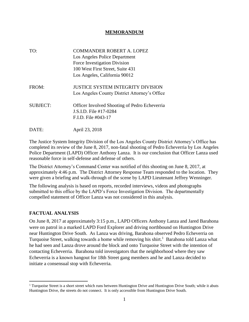#### **MEMORANDUM**

| TO:             | <b>COMMANDER ROBERT A. LOPEZ</b><br>Los Angeles Police Department<br>Force Investigation Division<br>100 West First Street, Suite 431<br>Los Angeles, California 90012 |
|-----------------|------------------------------------------------------------------------------------------------------------------------------------------------------------------------|
| FROM:           | JUSTICE SYSTEM INTEGRITY DIVISION<br>Los Angeles County District Attorney's Office                                                                                     |
| <b>SUBJECT:</b> | Officer Involved Shooting of Pedro Echeverria<br>J.S.I.D. File #17-0284<br>F.I.D. File #043-17                                                                         |
| DATE:           | April 23, 2018                                                                                                                                                         |

The Justice System Integrity Division of the Los Angeles County District Attorney's Office has completed its review of the June 8, 2017, non-fatal shooting of Pedro Echeverria by Los Angeles Police Department (LAPD) Officer Anthony Lanza. It is our conclusion that Officer Lanza used reasonable force in self-defense and defense of others.

The District Attorney's Command Center was notified of this shooting on June 8, 2017, at approximately 4:46 p.m. The District Attorney Response Team responded to the location. They were given a briefing and walk-through of the scene by LAPD Lieutenant Jeffrey Wenninger.

The following analysis is based on reports, recorded interviews, videos and photographs submitted to this office by the LAPD's Force Investigation Division. The departmentally compelled statement of Officer Lanza was not considered in this analysis.

### **FACTUAL ANALYSIS**

 $\overline{a}$ 

On June 8, 2017 at approximately 3:15 p.m., LAPD Officers Anthony Lanza and Jared Barahona were on patrol in a marked LAPD Ford Explorer and driving northbound on Huntington Drive near Huntington Drive South. As Lanza was driving, Barahona observed Pedro Echeverria on Turquoise Street, walking towards a home while removing his shirt.<sup>1</sup> Barahona told Lanza what he had seen and Lanza drove around the block and onto Turquoise Street with the intention of contacting Echeverria. Barahona told investigators that the neighborhood where they saw Echeverria is a known hangout for 18th Street gang members and he and Lanza decided to initiate a consensual stop with Echeverria.

<sup>&</sup>lt;sup>1</sup> Turquoise Street is a short street which runs between Huntington Drive and Huntington Drive South; while it abuts Huntington Drive, the streets do not connect. It is only accessible from Huntington Drive South.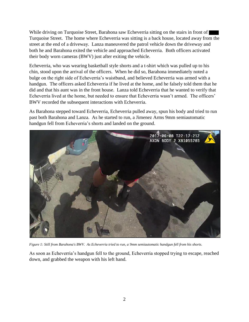While driving on Turquoise Street, Barahona saw Echeverria sitting on the stairs in front of Turquoise Street. The home where Echeverria was sitting is a back house, located away from the street at the end of a driveway. Lanza maneuvered the patrol vehicle down the driveway and both he and Barahona exited the vehicle and approached Echeverria. Both officers activated their body worn cameras (BWV) just after exiting the vehicle.

Echeverria, who was wearing basketball style shorts and a t-shirt which was pulled up to his chin, stood upon the arrival of the officers. When he did so, Barahona immediately noted a bulge on the right side of Echeverria's waistband, and believed Echeverria was armed with a handgun. The officers asked Echeverria if he lived at the home, and he falsely told them that he did and that his aunt was in the front house. Lanza told Echeverria that he wanted to verify that Echeverria lived at the home, but needed to ensure that Echeverria wasn't armed. The officers' BWV recorded the subsequent interactions with Echeverria.

As Barahona stepped toward Echeverria, Echeverria pulled away, spun his body and tried to run past both Barahona and Lanza. As he started to run, a Jimenez Arms 9mm semiautomatic handgun fell from Echeverria's shorts and landed on the ground.



*Figure 1: Still from Barahona's BWV. As Echeverria tried to run, a 9mm semiautomatic handgun fell from his shorts.*

As soon as Echeverria's handgun fell to the ground, Echeverria stopped trying to escape, reached down, and grabbed the weapon with his left hand.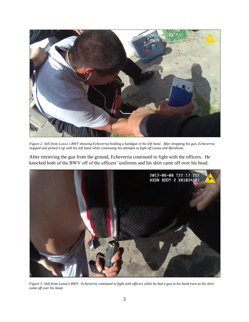

*Figure 2: Still from Lanza's BWV showing Echeverria holding a handgun in his left hand. After dropping his gun, Echeverria stopped and picked it up with his left hand while continuing his attempts to fight off Lanza and Barahona.*

After retrieving the gun from the ground, Echeverria continued to fight with the officers. He knocked both of the BWV off of the officers' uniforms and his shirt came off over his head.



*Figure 3: Still from Lanza's BWV. Echeverria continued to fight with officers while he had a gun in his hand even as his shirt came off over his head.*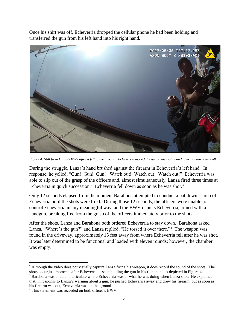Once his shirt was off, Echeverria dropped the cellular phone he had been holding and transferred the gun from his left hand into his right hand.



*Figure 4: Still from Lanza's BWV after it fell to the ground. Echeverria moved the gun to his right hand after his shirt came off.*

During the struggle, Lanza's hand brushed against the firearm in Echeverria's left hand. In response, he yelled, "Gun! Gun! Gun! Watch out! Watch out! Watch out!" Echeverria was able to slip out of the grasp of the officers and, almost simultaneously, Lanza fired three times at Echeverria in quick succession.<sup>2</sup> Echeverria fell down as soon as he was shot.<sup>3</sup>

Only 12 seconds elapsed from the moment Barahona attempted to conduct a pat down search of Echeverria until the shots were fired. During those 12 seconds, the officers were unable to control Echeverria in any meaningful way, and the BWV depicts Echeverria, armed with a handgun, breaking free from the grasp of the officers immediately prior to the shots.

After the shots, Lanza and Barahona both ordered Echeverria to stay down. Barahona asked Lanza, "Where's the gun?" and Lanza replied, "He tossed it over there."<sup>4</sup> The weapon was found in the driveway, approximately 15 feet away from where Echeverria fell after he was shot. It was later determined to be functional and loaded with eleven rounds; however, the chamber was empty.

 $\overline{\phantom{a}}$ <sup>2</sup> Although the video does not visually capture Lanza firing his weapon, it does record the sound of the shots. The shots occur just moments after Echeverria is seen holding the gun in his right hand as depicted in Figure 4.

<sup>&</sup>lt;sup>3</sup> Barahona was unable to articulate where Echeverria was or what he was doing when Lanza shot. He explained that, in response to Lanza's warning about a gun, he pushed Echevarria away and drew his firearm, but as soon as his firearm was out, Echeverria was on the ground.

<sup>4</sup> This statement was recorded on both officer's BWV.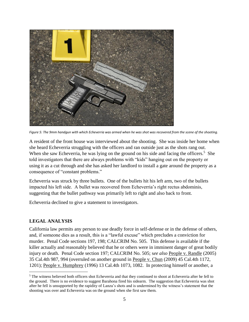

*Figure 5: The 9mm handgun with which Echeverria was armed when he was shot was recovered from the scene of the shooting.*

A resident of the front house was interviewed about the shooting. She was inside her home when she heard Echeverria struggling with the officers and ran outside just as the shots rang out. When she saw Echeverria, he was lying on the ground on his side and facing the officers.<sup>5</sup> She told investigators that there are always problems with "kids" hanging out on the property or using it as a cut through and she has asked her landlord to install a gate around the property as a consequence of "constant problems."

Echeverria was struck by three bullets. One of the bullets hit his left arm, two of the bullets impacted his left side. A bullet was recovered from Echeverria's right rectus abdominis, suggesting that the bullet pathway was primarily left to right and also back to front.

Echeverria declined to give a statement to investigators.

### **LEGAL ANALYSIS**

 $\overline{a}$ 

California law permits any person to use deadly force in self-defense or in the defense of others, and, if someone dies as a result, this is a "lawful excuse" which precludes a conviction for murder. Penal Code sections 197, 198; CALCRIM No. 505. This defense is available if the killer actually and reasonably believed that he or others were in imminent danger of great bodily injury or death. Penal Code section 197; CALCRIM No. 505; s*ee also* People v. Randle (2005) 35 Cal.4th 987, 994 (overruled on another ground in People v. Chun (2009) 45 Cal.4th 1172, 1201); People v. Humphrey (1996) 13 Cal.4th 1073, 1082. In protecting himself or another, a

<sup>&</sup>lt;sup>5</sup> The witness believed both officers shot Echeverria and that they continued to shoot at Echeverria after he fell to the ground. There is no evidence to suggest Barahona fired his sidearm. The suggestion that Echeverria was shot after he fell is unsupported by the rapidity of Lanza's shots and is undermined by the witness's statement that the shooting was over and Echeverria was on the ground when she first saw them.